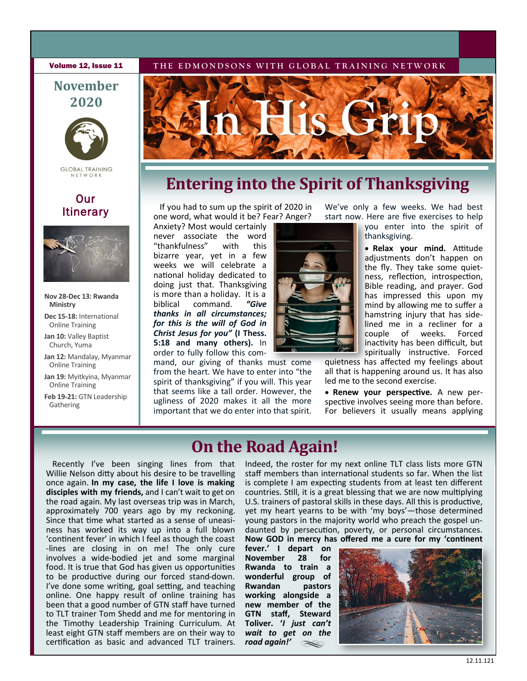#### **Volume 12, Issue 11** THE EDMONDSONS WITH GLOBAL TRAINING NETWORK

## **November 2020**



**GLOBAL TRAINING** 

## **Our** Itinerary



#### **Nov 28-Dec 13: Rwanda Ministry**

**Dec 15-18:** International Online Training

- Jan 10: Valley Baptist Church, Yuma
- **Jan 12:** Mandalay, Myanmar Online Training
- **Jan 19:** Myitkyina, Myanmar Online Training
- **Feb 19-21:** GTN Leadership Gathering



# **Entering into the Spirit of Thanksgiving**

If you had to sum up the spirit of 2020 in one word, what would it be? Fear? Anger?

Anxiety? Most would certainly never associate the word<br>"thankfulness" with this "thankfulness" bizarre year, yet in a few weeks we will celebrate a national holiday dedicated to doing just that. Thanksgiving is more than a holiday. It is a biblical command. *"Give thanks in all circumstances; for this is the will of God in Christ Jesus for you"* **(I Thess. 5:18 and many others).** In order to fully follow this com-

mand, our giving of thanks must come from the heart. We have to enter into "the spirit of thanksgiving" if you will. This year that seems like a tall order. However, the ugliness of 2020 makes it all the more important that we do enter into that spirit.



We've only a few weeks. We had best start now. Here are five exercises to help

you enter into the spirit of thanksgiving.

• **Relax your mind.** Attitude adjustments don't happen on the fly. They take some quietness, reflection, introspection, Bible reading, and prayer. God has impressed this upon my mind by allowing me to suffer a hamstring injury that has sidelined me in a recliner for a couple of weeks. Forced inactivity has been difficult, but spiritually instructive. Forced

quietness has affected my feelings about all that is happening around us. It has also led me to the second exercise.

• **Renew your perspective.** A new perspective involves seeing more than before. For believers it usually means applying

# **On the Road Again!**

Recently I've been singing lines from that Willie Nelson ditty about his desire to be travelling once again. **In my case, the life I love is making disciples with my friends,** and I can't wait to get on the road again. My last overseas trip was in March, approximately 700 years ago by my reckoning. Since that time what started as a sense of uneasiness has worked its way up into a full blown 'continent fever' in which I feel as though the coast -lines are closing in on me! The only cure involves a wide-bodied jet and some marginal food. It is true that God has given us opportunities to be productive during our forced stand-down. I've done some writing, goal setting, and teaching online. One happy result of online training has been that a good number of GTN staff have turned to TLT trainer Tom Shedd and me for mentoring in the Timothy Leadership Training Curriculum. At least eight GTN staff members are on their way to certification as basic and advanced TLT trainers. Indeed, the roster for my next online TLT class lists more GTN staff members than international students so far. When the list is complete I am expecting students from at least ten different countries. Still, it is a great blessing that we are now multiplying U.S. trainers of pastoral skills in these days. All this is productive, yet my heart yearns to be with 'my boys'—those determined young pastors in the majority world who preach the gospel undaunted by persecution, poverty, or personal circumstances. **Now GOD in mercy has offered me a cure for my 'continent** 

fever.' I depart on<br>November 28 for **November 28 for Rwanda to train a wonderful group of Rwandan working alongside a new member of the GTN staff, Steward Toliver. '***I just can't wait to get on the road again!'*   $\infty$